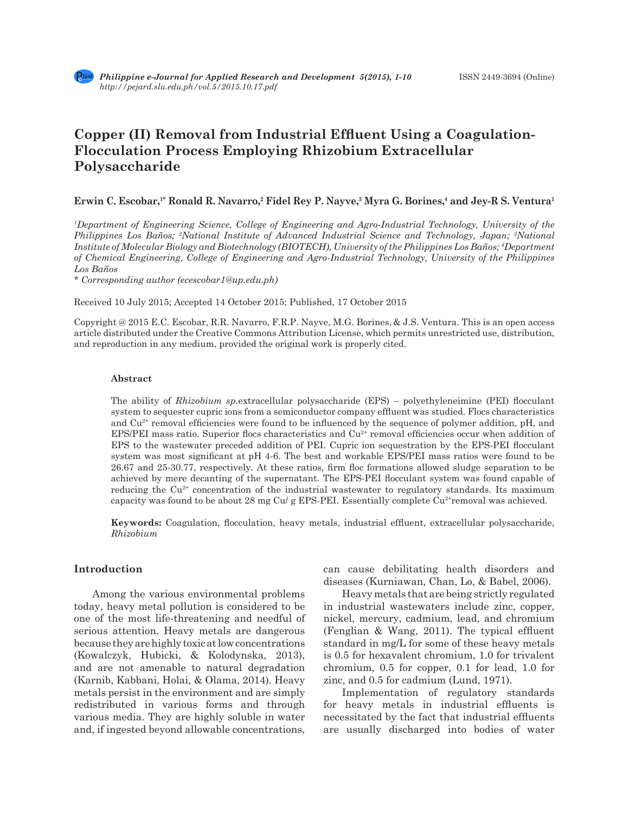# **Copper (II) Removal from Industrial Effluent Using a Coagulation-Flocculation Process Employing Rhizobium Extracellular Polysaccharide**

**Erwin C. Escobar,1\* Ronald R. Navarro,<sup>2</sup> Fidel Rey P. Nayve,<sup>3</sup> Myra G. Borines,<sup>4</sup> and Jey-R S. Ventura<sup>1</sup>**

*1 Department of Engineering Science, College of Engineering and Agro-Industrial Technology, University of the Philippines Los Baños; 2 National Institute of Advanced Industrial Science and Technology, Japan; 3 National Institute of Molecular Biology and Biotechnology (BIOTECH), University of the Philippines Los Baños; 4 Department of Chemical Engineering, College of Engineering and Agro-Industrial Technology, University of the Philippines Los Baños*

*\* Corresponding author (ecescobar1@up.edu.ph)*

Received 10 July 2015; Accepted 14 October 2015; Published, 17 October 2015

Copyright @ 2015 E.C. Escobar, R.R. Navarro, F.R.P. Nayve, M.G. Borines, & J.S. Ventura. This is an open access article distributed under the Creative Commons Attribution License, which permits unrestricted use, distribution, and reproduction in any medium, provided the original work is properly cited.

#### **Abstract**

The ability of *Rhizobium sp.*extracellular polysaccharide (EPS) – polyethyleneimine (PEI) flocculant system to sequester cupric ions from a semiconductor company effluent was studied. Flocs characteristics and  $Cu<sup>2+</sup>$  removal efficiencies were found to be influenced by the sequence of polymer addition, pH, and EPS/PEI mass ratio. Superior flocs characteristics and  $Cu<sup>2+</sup>$  removal efficiencies occur when addition of EPS to the wastewater preceded addition of PEI. Cupric ion sequestration by the EPS-PEI flocculant system was most significant at pH 4-6. The best and workable EPS/PEI mass ratios were found to be 26.67 and 25-30.77, respectively. At these ratios, firm floc formations allowed sludge separation to be achieved by mere decanting of the supernatant. The EPS-PEI flocculant system was found capable of reducing the  $Cu^{2+}$  concentration of the industrial wastewater to regulatory standards. Its maximum capacity was found to be about 28 mg Cu/ g EPS-PEI. Essentially complete  $Cu^{2+}$ removal was achieved.

**Keywords:** Coagulation, flocculation, heavy metals, industrial effluent, extracellular polysaccharide, *Rhizobium*

## **Introduction**

Among the various environmental problems today, heavy metal pollution is considered to be one of the most life-threatening and needful of serious attention. Heavy metals are dangerous because they are highly toxic at low concentrations (Kowalczyk, Hubicki, & Kolodynska, 2013), and are not amenable to natural degradation (Karnib, Kabbani, Holai, & Olama, 2014). Heavy metals persist in the environment and are simply redistributed in various forms and through various media. They are highly soluble in water and, if ingested beyond allowable concentrations, can cause debilitating health disorders and diseases (Kurniawan, Chan, Lo, & Babel, 2006).

Heavy metals that are being strictly regulated in industrial wastewaters include zinc, copper, nickel, mercury, cadmium, lead, and chromium (Fenglian & Wang, 2011). The typical effluent standard in mg/L for some of these heavy metals is 0.5 for hexavalent chromium, 1.0 for trivalent chromium, 0.5 for copper, 0.1 for lead, 1.0 for zinc, and 0.5 for cadmium (Lund, 1971).

Implementation of regulatory standards for heavy metals in industrial effluents is necessitated by the fact that industrial effluents are usually discharged into bodies of water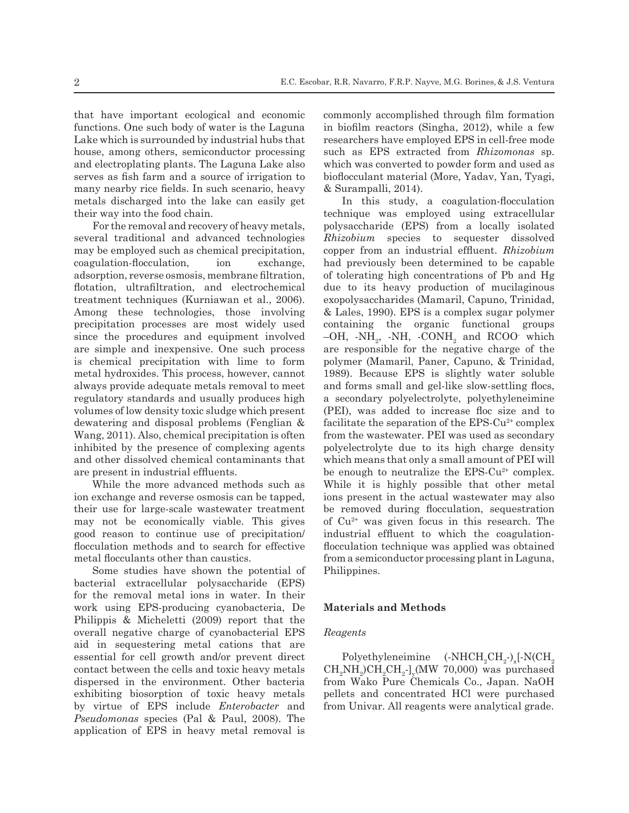that have important ecological and economic functions. One such body of water is the Laguna Lake which is surrounded by industrial hubs that house, among others, semiconductor processing and electroplating plants. The Laguna Lake also serves as fish farm and a source of irrigation to many nearby rice fields. In such scenario, heavy metals discharged into the lake can easily get their way into the food chain.

For the removal and recovery of heavy metals, several traditional and advanced technologies may be employed such as chemical precipitation, coagulation-flocculation, ion exchange, adsorption, reverse osmosis, membrane filtration, flotation, ultrafiltration, and electrochemical treatment techniques (Kurniawan et al., 2006). Among these technologies, those involving precipitation processes are most widely used since the procedures and equipment involved are simple and inexpensive. One such process is chemical precipitation with lime to form metal hydroxides. This process, however, cannot always provide adequate metals removal to meet regulatory standards and usually produces high volumes of low density toxic sludge which present dewatering and disposal problems (Fenglian & Wang, 2011). Also, chemical precipitation is often inhibited by the presence of complexing agents and other dissolved chemical contaminants that are present in industrial effluents.

While the more advanced methods such as ion exchange and reverse osmosis can be tapped, their use for large-scale wastewater treatment may not be economically viable. This gives good reason to continue use of precipitation/ flocculation methods and to search for effective metal flocculants other than caustics.

Some studies have shown the potential of bacterial extracellular polysaccharide (EPS) for the removal metal ions in water. In their work using EPS-producing cyanobacteria, De Philippis & Micheletti (2009) report that the overall negative charge of cyanobacterial EPS aid in sequestering metal cations that are essential for cell growth and/or prevent direct contact between the cells and toxic heavy metals dispersed in the environment. Other bacteria exhibiting biosorption of toxic heavy metals by virtue of EPS include *Enterobacter* and *Pseudomonas* species (Pal & Paul, 2008). The application of EPS in heavy metal removal is commonly accomplished through film formation in biofilm reactors (Singha, 2012), while a few researchers have employed EPS in cell-free mode such as EPS extracted from *Rhizomonas* sp. which was converted to powder form and used as bioflocculant material (More, Yadav, Yan, Tyagi, & Surampalli, 2014).

In this study, a coagulation-flocculation technique was employed using extracellular polysaccharide (EPS) from a locally isolated *Rhizobium* species to sequester dissolved copper from an industrial effluent. *Rhizobium* had previously been determined to be capable of tolerating high concentrations of Pb and Hg due to its heavy production of mucilaginous exopolysaccharides (Mamaril, Capuno, Trinidad, & Lales, 1990). EPS is a complex sugar polymer containing the organic functional groups  $-OH$ ,  $NH_2$ ,  $NH$ ,  $-CONH_2$  and RCOO which are responsible for the negative charge of the polymer (Mamaril, Paner, Capuno, & Trinidad, 1989). Because EPS is slightly water soluble and forms small and gel-like slow-settling flocs, a secondary polyelectrolyte, polyethyleneimine (PEI), was added to increase floc size and to facilitate the separation of the EPS- $Cu^{2+}$  complex from the wastewater. PEI was used as secondary polyelectrolyte due to its high charge density which means that only a small amount of PEI will be enough to neutralize the  $EPS-Cu^{2+}$  complex. While it is highly possible that other metal ions present in the actual wastewater may also be removed during flocculation, sequestration of Cu2+ was given focus in this research. The industrial effluent to which the coagulationflocculation technique was applied was obtained from a semiconductor processing plant in Laguna, Philippines.

### **Materials and Methods**

### *Reagents*

Polyethyleneimine  $\rm CH_{_2}\text{-)}_{x}$ [-N( $\rm CH_{_2}$  $\mathrm{CH}_2\mathrm{NH}_2\mathrm{CH}_2\mathrm{CH}_2$ -]<sub>y</sub>(MW 70,000) was purchased from Wako Pure Chemicals Co., Japan. NaOH pellets and concentrated HCl were purchased from Univar. All reagents were analytical grade.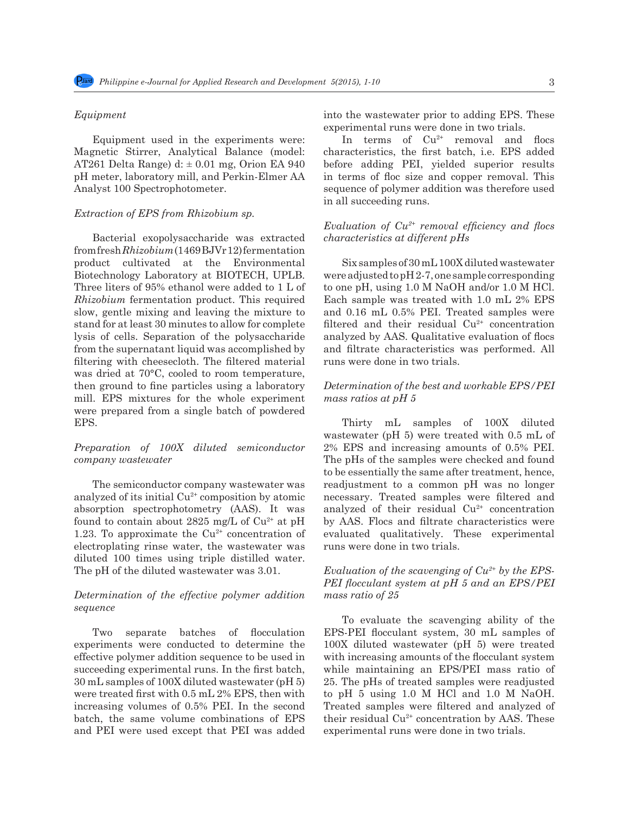#### *Equipment*

Equipment used in the experiments were: Magnetic Stirrer, Analytical Balance (model: AT261 Delta Range) d:  $\pm$  0.01 mg, Orion EA 940 pH meter, laboratory mill, and Perkin-Elmer AA Analyst 100 Spectrophotometer.

#### *Extraction of EPS from Rhizobium sp.*

Bacterial exopolysaccharide was extracted from fresh *Rhizobium* (1469 BJVr 12) fermentation product cultivated at the Environmental Biotechnology Laboratory at BIOTECH, UPLB. Three liters of 95% ethanol were added to 1 L of *Rhizobium* fermentation product. This required slow, gentle mixing and leaving the mixture to stand for at least 30 minutes to allow for complete lysis of cells. Separation of the polysaccharide from the supernatant liquid was accomplished by filtering with cheesecloth. The filtered material was dried at 70°C, cooled to room temperature, then ground to fine particles using a laboratory mill. EPS mixtures for the whole experiment were prepared from a single batch of powdered EPS.

## *Preparation of 100X diluted semiconductor company wastewater*

The semiconductor company wastewater was analyzed of its initial Cu2+ composition by atomic absorption spectrophotometry (AAS). It was found to contain about 2825 mg/L of  $Cu^{2+}$  at pH 1.23. To approximate the  $Cu^{2+}$  concentration of electroplating rinse water, the wastewater was diluted 100 times using triple distilled water. The pH of the diluted wastewater was 3.01.

## *Determination of the effective polymer addition sequence*

Two separate batches of flocculation experiments were conducted to determine the effective polymer addition sequence to be used in succeeding experimental runs. In the first batch, 30 mL samples of 100X diluted wastewater (pH 5) were treated first with 0.5 mL 2% EPS, then with increasing volumes of 0.5% PEI. In the second batch, the same volume combinations of EPS and PEI were used except that PEI was added into the wastewater prior to adding EPS. These experimental runs were done in two trials.

In terms of  $Cu^{2+}$  removal and flocs characteristics, the first batch, i.e. EPS added before adding PEI, yielded superior results in terms of floc size and copper removal. This sequence of polymer addition was therefore used in all succeeding runs.

# *Evaluation of Cu2+ removal efficiency and flocs characteristics at different pHs*

Six samples of 30 mL 100X diluted wastewater were adjusted to pH 2-7, one sample corresponding to one pH, using 1.0 M NaOH and/or 1.0 M HCl. Each sample was treated with 1.0 mL 2% EPS and 0.16 mL 0.5% PEI. Treated samples were filtered and their residual  $Cu^{2+}$  concentration analyzed by AAS. Qualitative evaluation of flocs and filtrate characteristics was performed. All runs were done in two trials.

## *Determination of the best and workable EPS/PEI mass ratios at pH 5*

Thirty mL samples of 100X diluted wastewater (pH 5) were treated with 0.5 mL of 2% EPS and increasing amounts of 0.5% PEI. The pHs of the samples were checked and found to be essentially the same after treatment, hence, readjustment to a common pH was no longer necessary. Treated samples were filtered and analyzed of their residual  $Cu^{2+}$  concentration by AAS. Flocs and filtrate characteristics were evaluated qualitatively. These experimental runs were done in two trials.

## *Evaluation of the scavenging of Cu2+ by the EPS-PEI flocculant system at pH 5 and an EPS/PEI mass ratio of 25*

To evaluate the scavenging ability of the EPS-PEI flocculant system, 30 mL samples of 100X diluted wastewater (pH 5) were treated with increasing amounts of the flocculant system while maintaining an EPS/PEI mass ratio of 25. The pHs of treated samples were readjusted to pH 5 using 1.0 M HCl and 1.0 M NaOH. Treated samples were filtered and analyzed of their residual  $Cu^{2+}$  concentration by AAS. These experimental runs were done in two trials.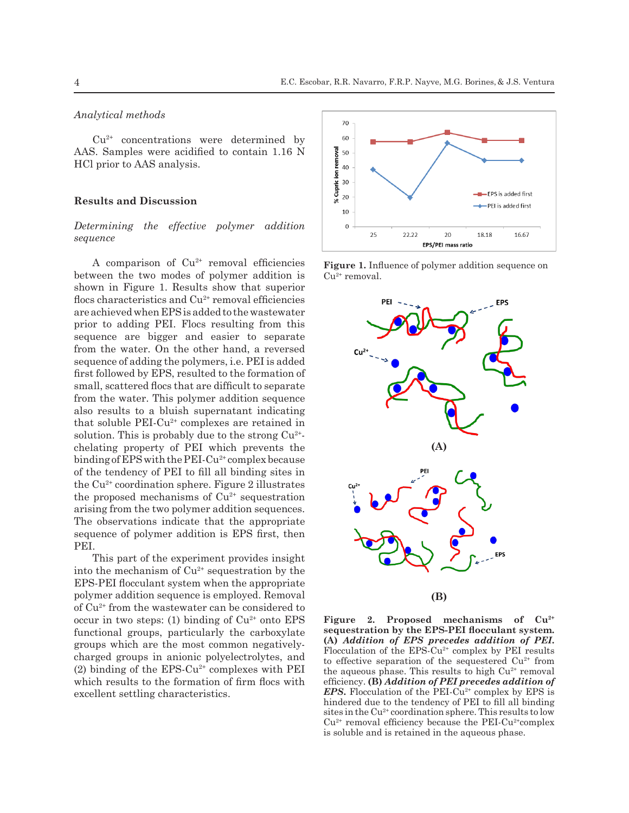### *Analytical methods*

 $Cu<sup>2+</sup>$  concentrations were determined by AAS. Samples were acidified to contain 1.16 N HCl prior to AAS analysis.

### **Results and Discussion**

## *Determining the effective polymer addition sequence*

A comparison of  $Cu^{2+}$  removal efficiencies between the two modes of polymer addition is shown in Figure 1. Results show that superior flocs characteristics and Cu<sup>2+</sup> removal efficiencies are achieved when EPS is added to the wastewater prior to adding PEI. Flocs resulting from this sequence are bigger and easier to separate from the water. On the other hand, a reversed sequence of adding the polymers, i.e. PEI is added first followed by EPS, resulted to the formation of small, scattered flocs that are difficult to separate from the water. This polymer addition sequence also results to a bluish supernatant indicating that soluble PEI-Cu<sup>2+</sup> complexes are retained in solution. This is probably due to the strong  $Cu^{2+}$ chelating property of PEI which prevents the binding of EPS with the PEI- $Cu^{2+}$  complex because of the tendency of PEI to fill all binding sites in the  $Cu<sup>2+</sup>$  coordination sphere. Figure 2 illustrates the proposed mechanisms of  $Cu^{2+}$  sequestration arising from the two polymer addition sequences. The observations indicate that the appropriate sequence of polymer addition is EPS first, then PEI.

This part of the experiment provides insight into the mechanism of  $Cu^{2+}$  sequestration by the EPS-PEI flocculant system when the appropriate polymer addition sequence is employed. Removal of Cu2+ from the wastewater can be considered to occur in two steps: (1) binding of  $Cu^{2+}$  onto EPS functional groups, particularly the carboxylate groups which are the most common negativelycharged groups in anionic polyelectrolytes, and (2) binding of the  $EPS-Cu^{2+}$  complexes with PEI which results to the formation of firm flocs with excellent settling characteristics.



**Figure 1.** Influence of polymer addition sequence on Cu<sup>2+</sup> removal.



**Figure 2. Proposed mechanisms of Cu2+ sequestration by the EPS-PEI flocculant system. (A)** *Addition of EPS precedes addition of PEI***.**  Flocculation of the  $EPS-Cu^{2+}$  complex by PEI results to effective separation of the sequestered  $Cu^{2+}$  from the aqueous phase. This results to high  $Cu<sup>2+</sup>$  removal efficiency. **(B)** *Addition of PEI precedes addition of EPS*. Flocculation of the PEI-Cu<sup>2+</sup> complex by EPS is hindered due to the tendency of PEI to fill all binding sites in the Cu<sup>2+</sup> coordination sphere. This results to low  $Cu<sup>2+</sup>$  removal efficiency because the PEI-Cu<sup>2+</sup>complex is soluble and is retained in the aqueous phase.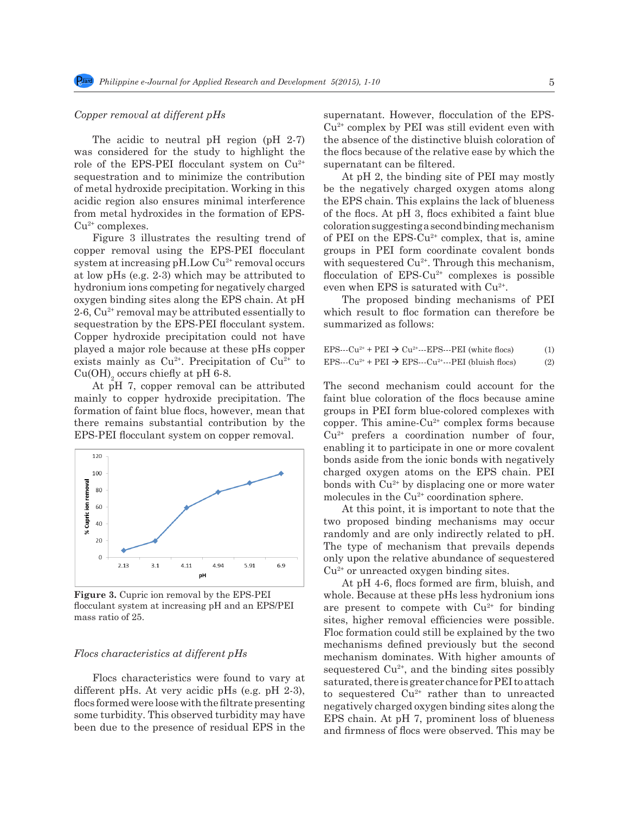### *Copper removal at different pHs*

The acidic to neutral pH region (pH 2-7) was considered for the study to highlight the role of the EPS-PEI flocculant system on  $Cu^{2+}$ sequestration and to minimize the contribution of metal hydroxide precipitation. Working in this acidic region also ensures minimal interference from metal hydroxides in the formation of EPS- $Cu<sup>2+</sup> complexes.$ 

Figure 3 illustrates the resulting trend of copper removal using the EPS-PEI flocculant system at increasing  $pH.Low Cu<sup>2+</sup> removal occurs$ at low pHs (e.g. 2-3) which may be attributed to hydronium ions competing for negatively charged oxygen binding sites along the EPS chain. At pH 2-6,  $Cu^{2+}$  removal may be attributed essentially to sequestration by the EPS-PEI flocculant system. Copper hydroxide precipitation could not have played a major role because at these pHs copper exists mainly as  $Cu^{2+}$ . Precipitation of  $Cu^{2+}$  to  $Cu(OH)$ <sub>2</sub> occurs chiefly at pH 6-8.

At pH 7, copper removal can be attributed mainly to copper hydroxide precipitation. The formation of faint blue flocs, however, mean that there remains substantial contribution by the EPS-PEI flocculant system on copper removal.



**Figure 3.** Cupric ion removal by the EPS-PEI flocculant system at increasing pH and an EPS/PEI mass ratio of 25.

#### *Flocs characteristics at different pHs*

Flocs characteristics were found to vary at different pHs. At very acidic pHs (e.g. pH 2-3), flocs formed were loose with the filtrate presenting some turbidity. This observed turbidity may have been due to the presence of residual EPS in the supernatant. However, flocculation of the EPS- $Cu<sup>2+</sup>$  complex by PEI was still evident even with the absence of the distinctive bluish coloration of the flocs because of the relative ease by which the supernatant can be filtered.

At pH 2, the binding site of PEI may mostly be the negatively charged oxygen atoms along the EPS chain. This explains the lack of blueness of the flocs. At pH 3, flocs exhibited a faint blue coloration suggesting a second binding mechanism of PEI on the EPS-Cu<sup>2+</sup> complex, that is, amine groups in PEI form coordinate covalent bonds with sequestered  $Cu^{2+}$ . Through this mechanism, flocculation of  $EPS-Cu^{2+}$  complexes is possible even when EPS is saturated with Cu<sup>2+</sup>.

The proposed binding mechanisms of PEI which result to floc formation can therefore be summarized as follows:

| $EPSCu^{2+} + PEI \rightarrow Cu^{2+}EPSPEI$ (white flocs)  |  | (1) |
|-------------------------------------------------------------|--|-----|
| $EPSCu^{2+} + PEI \rightarrow EPSCu^{2+}PEI$ (bluish flocs) |  | (2) |

The second mechanism could account for the faint blue coloration of the flocs because amine groups in PEI form blue-colored complexes with copper. This amine-Cu<sup>2+</sup> complex forms because  $Cu<sup>2+</sup>$  prefers a coordination number of four, enabling it to participate in one or more covalent bonds aside from the ionic bonds with negatively charged oxygen atoms on the EPS chain. PEI bonds with  $Cu^{2+}$  by displacing one or more water molecules in the  $Cu^{2+}$  coordination sphere.

At this point, it is important to note that the two proposed binding mechanisms may occur randomly and are only indirectly related to pH. The type of mechanism that prevails depends only upon the relative abundance of sequestered  $Cu<sup>2+</sup>$  or unreacted oxygen binding sites.

At pH 4-6, flocs formed are firm, bluish, and whole. Because at these pHs less hydronium ions are present to compete with  $Cu^{2+}$  for binding sites, higher removal efficiencies were possible. Floc formation could still be explained by the two mechanisms defined previously but the second mechanism dominates. With higher amounts of sequestered  $Cu^{2+}$ , and the binding sites possibly saturated, there is greater chance for PEI to attach to sequestered Cu<sup>2+</sup> rather than to unreacted negatively charged oxygen binding sites along the EPS chain. At pH 7, prominent loss of blueness and firmness of flocs were observed. This may be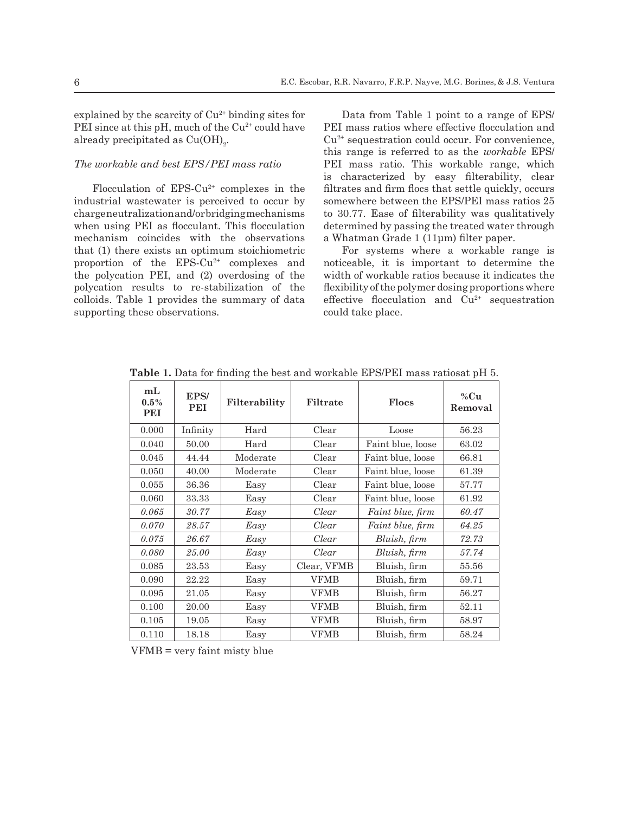explained by the scarcity of  $Cu<sup>2+</sup>$  binding sites for PEI since at this pH, much of the  $Cu^{2+}$  could have already precipitated as  $Cu(OH)_{2}$ .

## *The workable and best EPS/PEI mass ratio*

Flocculation of  $EPS-Cu^{2+}$  complexes in the industrial wastewater is perceived to occur by charge neutralization and/or bridging mechanisms when using PEI as flocculant. This flocculation mechanism coincides with the observations that (1) there exists an optimum stoichiometric proportion of the  $EPS-Cu^{2+}$  complexes and the polycation PEI, and (2) overdosing of the polycation results to re-stabilization of the colloids. Table 1 provides the summary of data supporting these observations.

Data from Table 1 point to a range of EPS/ PEI mass ratios where effective flocculation and  $Cu<sup>2+</sup>$  sequestration could occur. For convenience, this range is referred to as the *workable* EPS/ PEI mass ratio. This workable range, which is characterized by easy filterability, clear filtrates and firm flocs that settle quickly, occurs somewhere between the EPS/PEI mass ratios 25 to 30.77. Ease of filterability was qualitatively determined by passing the treated water through a Whatman Grade 1 (11μm) filter paper.

For systems where a workable range is noticeable, it is important to determine the width of workable ratios because it indicates the flexibility of the polymer dosing proportions where effective flocculation and Cu<sup>2+</sup> sequestration could take place.

| m <sub>L</sub><br>$0.5\%$<br>PEI | EPS/<br><b>PEI</b> | Filterability | Filtrate    | <b>Flocs</b>            | % $Cu$<br>Removal |
|----------------------------------|--------------------|---------------|-------------|-------------------------|-------------------|
| 0.000                            | Infinity           | Hard          | Clear       | Loose                   | 56.23             |
| 0.040                            | 50.00              | Hard          | Clear       | Faint blue, loose       | 63.02             |
| 0.045                            | 44.44              | Moderate      | Clear       | Faint blue, loose       | 66.81             |
| 0.050                            | 40.00              | Moderate      | Clear       | Faint blue, loose       | 61.39             |
| 0.055                            | 36.36              | Easy          | Clear       | Faint blue, loose       | 57.77             |
| 0.060                            | 33.33              | Easy          | Clear       | Faint blue, loose       | 61.92             |
| 0.065                            | 30.77              | Easy          | Clear       | <i>Faint blue, firm</i> | 60.47             |
| 0.070                            | 28.57              | Easy          | Clear       | Faint blue, firm        | 64.25             |
| 0.075                            | 26.67              | Easy          | Clear       | Bluish, firm            | 72.73             |
| 0.080                            | 25.00              | Easy          | Clear       | Bluish, firm            | 57.74             |
| 0.085                            | 23.53              | Easy          | Clear, VFMB | Bluish, firm            | 55.56             |
| 0.090                            | 22.22              | Easy          | <b>VFMB</b> | Bluish, firm            | 59.71             |
| 0.095                            | 21.05              | Easy          | <b>VFMB</b> | Bluish, firm            | 56.27             |
| 0.100                            | 20.00              | Easy          | VFMB        | Bluish, firm            | 52.11             |
| 0.105                            | 19.05              | Easy          | VFMB        | Bluish, firm            | 58.97             |
| 0.110                            | 18.18              | Easy          | VFMB        | Bluish, firm            | 58.24             |

**Table 1.** Data for finding the best and workable EPS/PEI mass ratiosat pH 5.

VFMB = very faint misty blue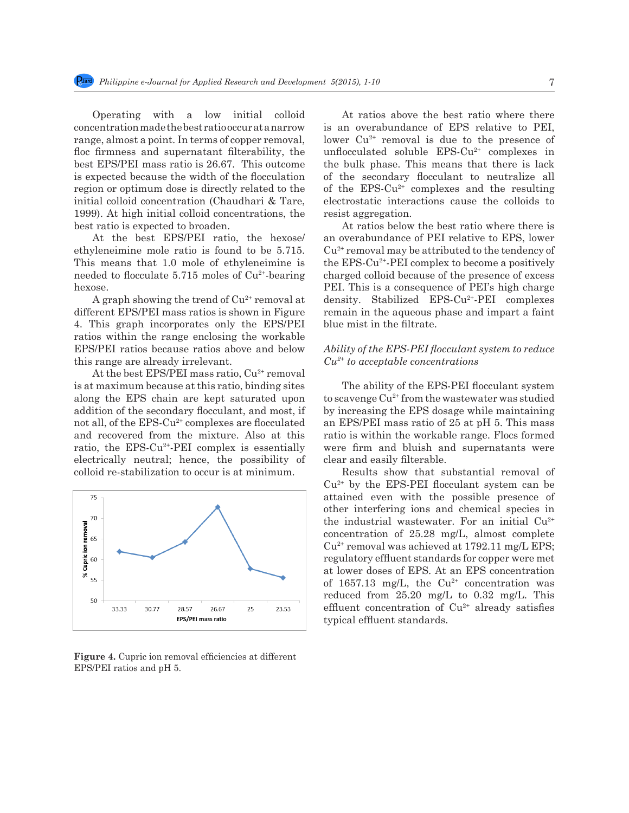Operating with a low initial colloid concentration made the best ratio occur at a narrow range, almost a point. In terms of copper removal, floc firmness and supernatant filterability, the best EPS/PEI mass ratio is 26.67. This outcome is expected because the width of the flocculation region or optimum dose is directly related to the initial colloid concentration (Chaudhari & Tare, 1999). At high initial colloid concentrations, the best ratio is expected to broaden.

At the best EPS/PEI ratio, the hexose/ ethyleneimine mole ratio is found to be 5.715. This means that 1.0 mole of ethyleneimine is needed to flocculate  $5.715$  moles of  $Cu<sup>2+</sup>$ -bearing hexose.

A graph showing the trend of  $Cu<sup>2+</sup>$  removal at different EPS/PEI mass ratios is shown in Figure 4. This graph incorporates only the EPS/PEI ratios within the range enclosing the workable EPS/PEI ratios because ratios above and below this range are already irrelevant.

At the best EPS/PEI mass ratio, Cu<sup>2+</sup> removal is at maximum because at this ratio, binding sites along the EPS chain are kept saturated upon addition of the secondary flocculant, and most, if not all, of the EPS-Cu<sup>2+</sup> complexes are flocculated and recovered from the mixture. Also at this ratio, the EPS- $Cu^{2+}$ -PEI complex is essentially electrically neutral; hence, the possibility of colloid re-stabilization to occur is at minimum.



Figure 4. Cupric ion removal efficiencies at different EPS/PEI ratios and pH 5.

At ratios above the best ratio where there is an overabundance of EPS relative to PEI, lower  $Cu^{2+}$  removal is due to the presence of unflocculated soluble EPS-Cu<sup>2+</sup> complexes in the bulk phase. This means that there is lack of the secondary flocculant to neutralize all of the  $EPS-Cu^{2+}$  complexes and the resulting electrostatic interactions cause the colloids to resist aggregation.

At ratios below the best ratio where there is an overabundance of PEI relative to EPS, lower  $Cu<sup>2+</sup>$  removal may be attributed to the tendency of the EPS-Cu2+-PEI complex to become a positively charged colloid because of the presence of excess PEI. This is a consequence of PEI's high charge density. Stabilized EPS-Cu2+-PEI complexes remain in the aqueous phase and impart a faint blue mist in the filtrate.

## *Ability of the EPS-PEI flocculant system to reduce Cu2+ to acceptable concentrations*

The ability of the EPS-PEI flocculant system to scavenge  $Cu^{2+}$  from the wastewater was studied by increasing the EPS dosage while maintaining an EPS/PEI mass ratio of 25 at pH 5. This mass ratio is within the workable range. Flocs formed were firm and bluish and supernatants were clear and easily filterable.

Results show that substantial removal of  $Cu<sup>2+</sup>$  by the EPS-PEI flocculant system can be attained even with the possible presence of other interfering ions and chemical species in the industrial wastewater. For an initial  $Cu^{2+}$ concentration of 25.28 mg/L, almost complete  $Cu^{2+}$  removal was achieved at 1792.11 mg/L EPS; regulatory effluent standards for copper were met at lower doses of EPS. At an EPS concentration of 1657.13 mg/L, the  $Cu^{2+}$  concentration was reduced from 25.20 mg/L to 0.32 mg/L. This effluent concentration of  $Cu^{2+}$  already satisfies typical effluent standards.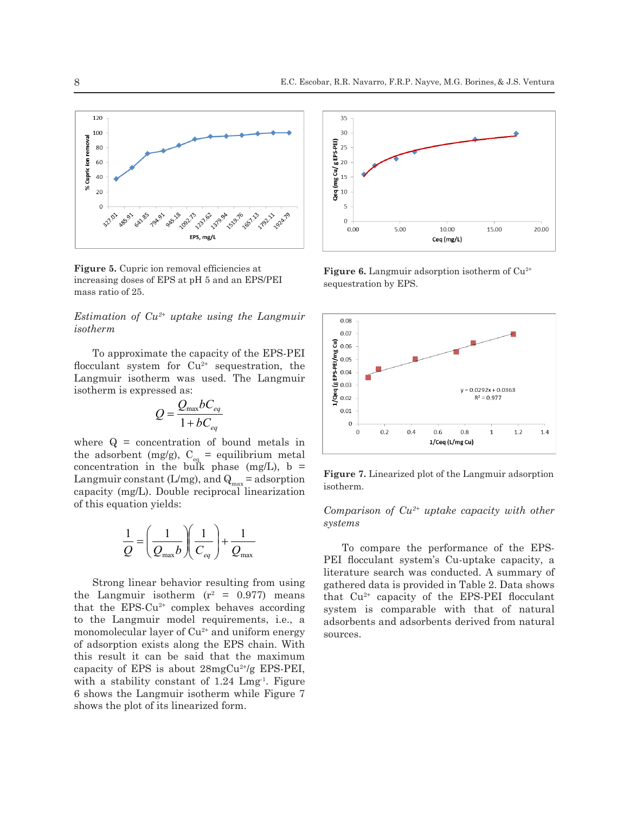

**Figure 5.** Cupric ion removal efficiencies at increasing doses of EPS at pH 5 and an EPS/PEI mass ratio of 25.

*Estimation of Cu2+ uptake using the Langmuir isotherm*

To approximate the capacity of the EPS-PEI flocculant system for  $Cu^{2+}$  sequestration, the Langmuir isotherm was used. The Langmuir isotherm is expressed as:

$$
Q = \frac{Q_{\text{max}}bC_{eq}}{1 + bC_{eq}}
$$

where  $Q =$  concentration of bound metals in the adsorbent (mg/g),  $C_{eq}$  = equilibrium metal concentration in the bulk phase (mg/L),  $b =$ Langmuir constant (L/mg), and  $Q_{\text{max}}$  = adsorption capacity (mg/L). Double reciprocal linearization of this equation yields:

$$
\frac{1}{Q} = \left(\frac{1}{Q_{\text{max}}b}\right)\left(\frac{1}{C_{eq}}\right) + \frac{1}{Q_{\text{max}}}
$$

Strong linear behavior resulting from using the Langmuir isotherm  $(r^2 = 0.977)$  means that the  $EPS-Cu^{2+}$  complex behaves according to the Langmuir model requirements, i.e., a monomolecular layer of  $Cu^{2+}$  and uniform energy of adsorption exists along the EPS chain. With this result it can be said that the maximum capacity of EPS is about  $28mgCu^{2+}/g$  EPS-PEI, with a stability constant of  $1.24 \, \text{Lmg}^1$ . Figure 6 shows the Langmuir isotherm while Figure 7 shows the plot of its linearized form.



**Figure 6.** Langmuir adsorption isotherm of Cu<sup>2+</sup> sequestration by EPS.



**Figure 7.** Linearized plot of the Langmuir adsorption isotherm.

*Comparison of Cu2+ uptake capacity with other systems*

To compare the performance of the EPS-PEI flocculant system's Cu-uptake capacity, a literature search was conducted. A summary of gathered data is provided in Table 2. Data shows that  $Cu^{2+}$  capacity of the EPS-PEI flocculant system is comparable with that of natural adsorbents and adsorbents derived from natural sources.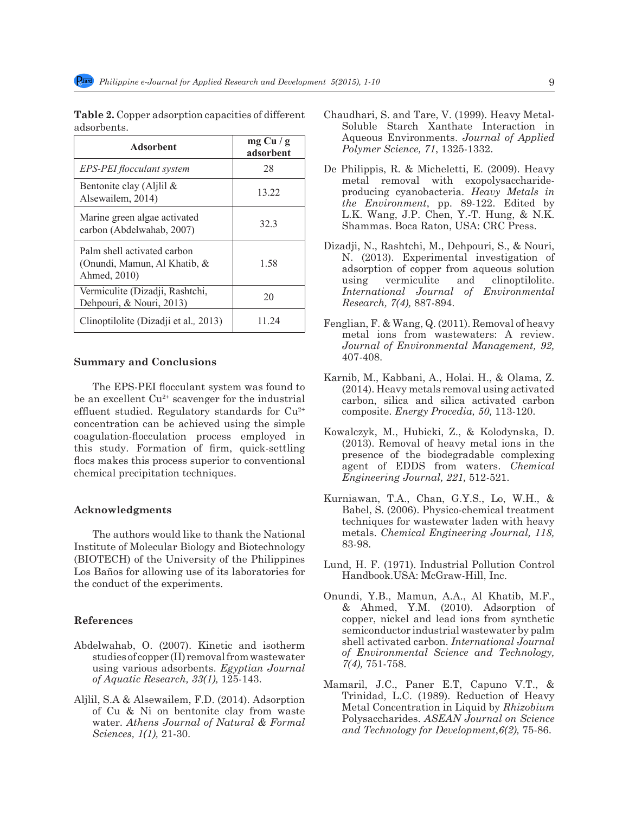| <b>Adsorbent</b>                                                            | mg Cu/g<br>adsorbent |  |
|-----------------------------------------------------------------------------|----------------------|--|
| EPS-PEI flocculant system                                                   | 28                   |  |
| Bentonite clay (Aljlil $\&$<br>Alsewailem, 2014)                            | 13.22                |  |
| Marine green algae activated<br>carbon (Abdelwahab, 2007)                   | 323                  |  |
| Palm shell activated carbon<br>(Onundi, Mamun, Al Khatib, &<br>Ahmed, 2010) | 1.58                 |  |
| Vermiculite (Dizadji, Rashtchi,<br>Dehpouri, & Nouri, 2013)                 | 20                   |  |
| Clinoptilolite (Dizadji et al., 2013)                                       | 11 24                |  |

**Table 2.** Copper adsorption capacities of different adsorbents.

#### **Summary and Conclusions**

The EPS-PEI flocculant system was found to be an excellent  $Cu^{2+}$  scavenger for the industrial effluent studied. Regulatory standards for  $Cu^{2+}$ concentration can be achieved using the simple coagulation-flocculation process employed in this study. Formation of firm, quick-settling flocs makes this process superior to conventional chemical precipitation techniques.

#### **Acknowledgments**

The authors would like to thank the National Institute of Molecular Biology and Biotechnology (BIOTECH) of the University of the Philippines Los Baños for allowing use of its laboratories for the conduct of the experiments.

#### **References**

- Abdelwahab, O. (2007). Kinetic and isotherm studies of copper (II) removal from wastewater using various adsorbents. *Egyptian Journal of Aquatic Research, 33(1),* 125-143.
- Aljlil, S.A & Alsewailem, F.D. (2014). Adsorption of Cu & Ni on bentonite clay from waste water. *Athens Journal of Natural & Formal Sciences, 1(1),* 21-30.
- Chaudhari, S. and Tare, V. (1999). Heavy Metal-Soluble Starch Xanthate Interaction in Aqueous Environments. *Journal of Applied Polymer Science, 71*, 1325-1332.
- De Philippis, R. & Micheletti, E. (2009). Heavy metal removal with exopolysaccharideproducing cyanobacteria. *Heavy Metals in the Environment*, pp. 89-122. Edited by L.K. Wang, J.P. Chen, Y.-T. Hung, & N.K. Shammas. Boca Raton, USA: CRC Press.
- Dizadji, N., Rashtchi, M., Dehpouri, S., & Nouri, N. (2013). Experimental investigation of adsorption of copper from aqueous solution using vermiculite and clinoptilolite. *International Journal of Environmental Research, 7(4),* 887-894.
- Fenglian, F. & Wang, Q. (2011). Removal of heavy metal ions from wastewaters: A review. *Journal of Environmental Management, 92,*  407-408.
- Karnib, M., Kabbani, A., Holai. H., & Olama, Z. (2014). Heavy metals removal using activated carbon, silica and silica activated carbon composite. *Energy Procedia, 50,* 113-120.
- Kowalczyk, M., Hubicki, Z., & Kolodynska, D. (2013). Removal of heavy metal ions in the presence of the biodegradable complexing agent of EDDS from waters. *Chemical Engineering Journal, 221,* 512-521.
- Kurniawan, T.A., Chan, G.Y.S., Lo, W.H., & Babel, S. (2006). Physico-chemical treatment techniques for wastewater laden with heavy metals. *Chemical Engineering Journal, 118,*  83-98.
- Lund, H. F. (1971). Industrial Pollution Control Handbook.USA: McGraw-Hill, Inc.
- Onundi, Y.B., Mamun, A.A., Al Khatib, M.F., & Ahmed, Y.M. (2010). Adsorption of copper, nickel and lead ions from synthetic semiconductor industrial wastewater by palm shell activated carbon. *International Journal of Environmental Science and Technology, 7(4),* 751-758.
- Mamaril, J.C., Paner E.T, Capuno V.T., & Trinidad, L.C. (1989). Reduction of Heavy Metal Concentration in Liquid by *Rhizobium* Polysaccharides. *ASEAN Journal on Science and Technology for Development*,*6(2),* 75-86.